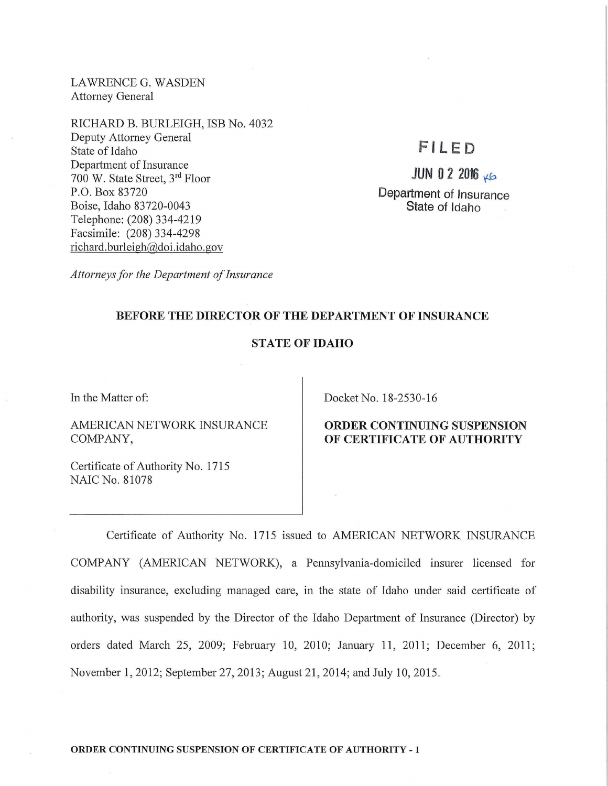LAWRENCE G. WASDEN Attorney General

RICHARD B. BURLEIGH, ISB No. 4032 Deputy Attorney General State of Idaho Department of Insurance 700 W. State Street, 3rd Floor P.O. Box 83720 Boise, Idaho 83720-0043 Telephone: (208) 334-4219 Facsimile: (208) 334-4298 richard. burleigh@doi.idaho.gov

# **Fl LED**

**JUN 0 2 2016 KG** 

**Department of Insurance State of Idaho** 

*Attorneys for the Department of Insurance* 

### **BEFORE THE DIRECTOR OF THE DEPARTMENT OF INSURANCE**

### **STATE OF IDAHO**

In the Matter of:

AMERICAN NETWORK INSURANCE COMPANY,

Certificate of Authority No. 1715 NAIC No. 81078

Docket No. 18-2530-16

# **ORDER CONTINUING SUSPENSION OF CERTIFICATE OF AUTHORITY**

Certificate of Authority No. 1715 issued to AMERICAN NETWORK INSURANCE COMP ANY (AMERICAN NETWORK), a Pennsylvania-domiciled insurer licensed for disability insurance, excluding managed care, in the state of Idaho under said certificate of authority, was suspended by the Director of the Idaho Department of Insurance (Director) by orders dated March 25, 2009; February 10, 2010; January **11,** 2011; December 6, 2011; November **1,** 2012; September 27, 2013; August 21, 2014; and July 10, 2015.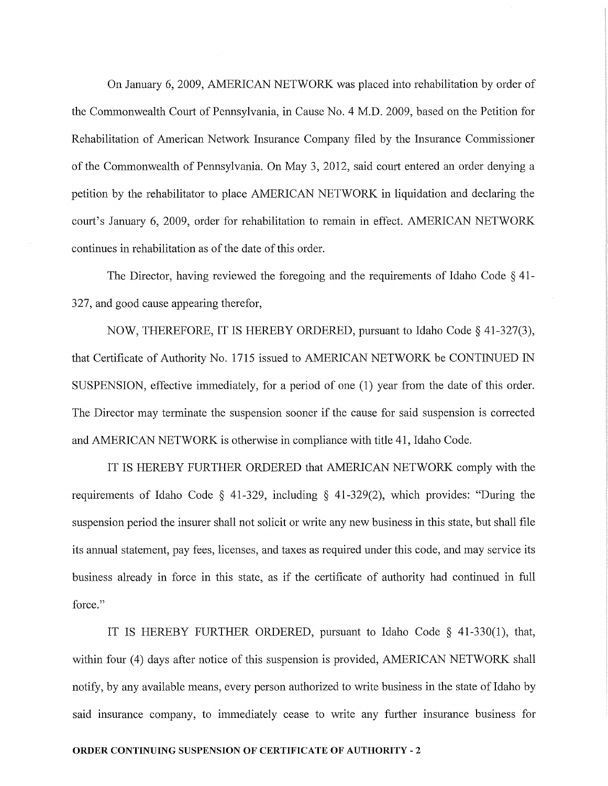On January 6, 2009, AMERICAN NETWORK was placed into rehabilitation by order of the Commonwealth Court of Pennsylvania, in Cause No. 4 M.D. 2009, based on the Petition for Rehabilitation of American Network Insurance Company filed by the Insurance Commissioner of the Commonwealth of Pennsylvania. On May 3, 2012, said court entered an order denying a petition by the rehabilitator to place AMERICAN NETWORK in liquidation and declaring the court's January 6, 2009, order for rehabilitation to remain in effect. AMERICAN NETWORK continues in rehabilitation as of the date of this order.

The Director, having reviewed the foregoing and the requirements of Idaho Code § 41- 327, and good cause appearing therefor,

NOW, THEREFORE, IT IS HEREBY ORDERED, pursuant to Idaho Code § 41-327(3), that Certificate of Authority No. 1715 issued to AMERICAN NETWORK be CONTINUED IN SUSPENSION, effective immediately, for a period of one (1) year from the date of this order. The Director may terminate the suspension sooner if the cause for said suspension is corrected and AMERICAN NETWORK is otherwise in compliance with title 41, Idaho Code.

IT IS HEREBY FURTHER ORDERED that AMERICAN NETWORK comply with the requirements of Idaho Code § 41-329, including § 41-329(2), which provides: "During the suspension period the insurer shall not solicit or write any new business in this state, but shall file its annual statement, pay fees, licenses, and taxes as required under this code, and may service its business already in force in this state, as if the certificate of authority had continued in full force."

IT IS HEREBY FURTHER ORDERED, pursuant to Idaho Code § 41-330(1), that, within four (4) days after notice of this suspension is provided, AMERICAN NETWORK shall notify, by any available means, every person authorized to write business in the state of Idaho by said insurance company, to immediately cease to write any further insurance business for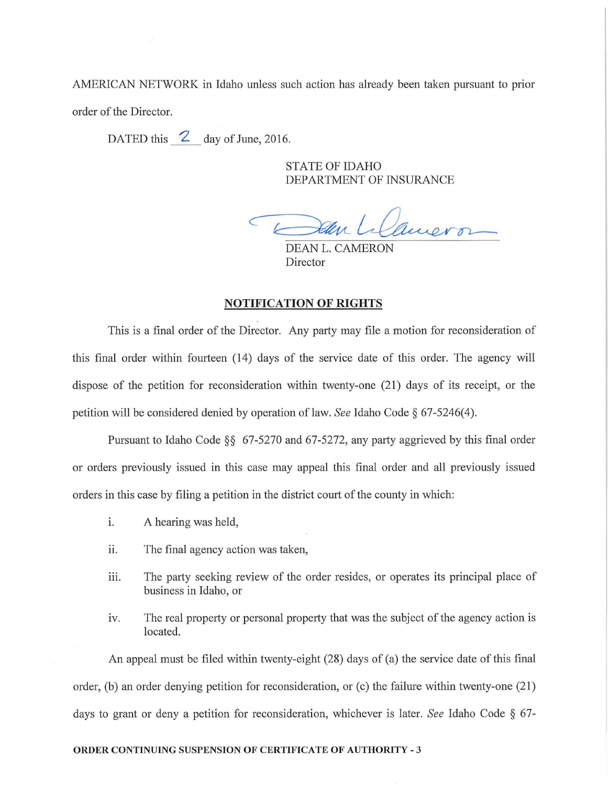AMERICAN NETWORK in Idaho unless such action has already been taken pursuant to prior order of the Director.

DATED this  $\sim$  day of June, 2016.

STATE OF IDAHO DEPARTMENT OF INSURANCE

Deur Lilanero

DEAN L. CAMERON Director

#### NOTIFICATION OF RIGHTS

This is a final order of the Director. Any party may file a motion for reconsideration of this final order within fourteen (14) days of the service date of this order. The agency will dispose of the petition for reconsideration within twenty-one (21) days of its receipt, or the petition will be considered denied by operation of law. *See* Idaho Code § 67-5246( 4).

Pursuant to Idaho Code  $\S$ § 67-5270 and 67-5272, any party aggrieved by this final order or orders previously issued in this case may appeal this final order and all previously issued orders in this case by filing a petition in the district court of the county in which:

- i. A hearing was held,
- ii. The final agency action was taken,
- iii. The party seeking review of the order resides, or operates its principal place of business in Idaho, or
- iv. The real property or personal property that was the subject of the agency action is located.

An appeal must be filed within twenty-eight (28) days of (a) the service date of this final order, (b) an order denying petition for reconsideration, or (c) the failure within twenty-one (21) days to grant or deny a petition for reconsideration, whichever is later. *See* Idaho Code § 67-

# ORDER CONTINUING SUSPENSION OF CERTIFICATE OF AUTHORITY - 3